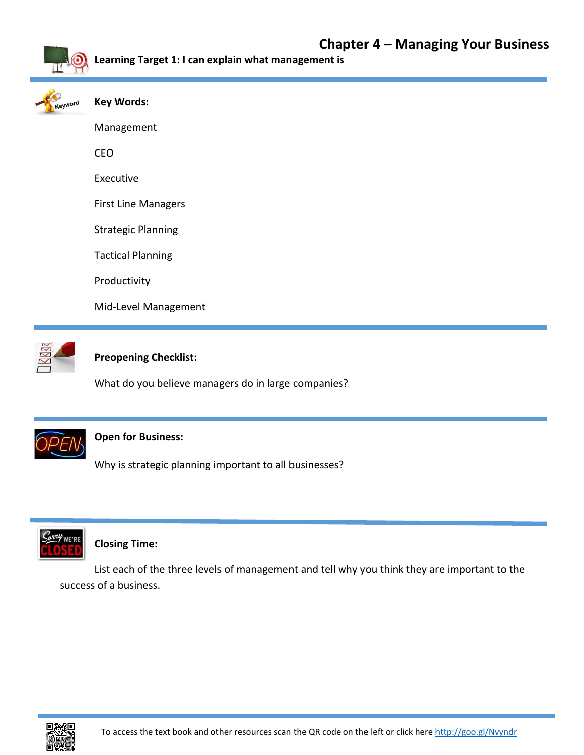

**Learning Target 1: I can explain what management is**

| Keyword | Key Words: |
|---------|------------|
|         | Management |
|         | CFO        |

Executive

First Line Managers

Strategic Planning

Tactical Planning

Productivity

Mid‐Level Management



## **Preopening Checklist:**

What do you believe managers do in large companies?



## **Open for Business:**

Why is strategic planning important to all businesses?



## **Closing Time:**

List each of the three levels of management and tell why you think they are important to the success of a business.

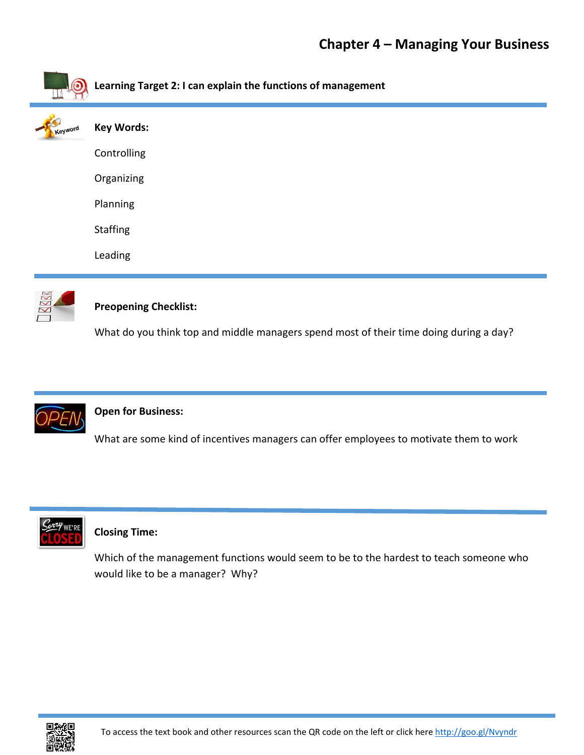# **Chapter 4 – Managing Your Business**

| Learning Target 2: I can explain the functions of management |
|--------------------------------------------------------------|
| <b>Key Words:</b>                                            |
| Controlling                                                  |
| Organizing                                                   |
| Planning                                                     |
| <b>Staffing</b>                                              |
| Leading                                                      |
|                                                              |



## **Preopening Checklist:**

What do you think top and middle managers spend most of their time doing during a day?



## **Open for Business:**

What are some kind of incentives managers can offer employees to motivate them to work



## **Closing Time:**

Which of the management functions would seem to be to the hardest to teach someone who would like to be a manager? Why?

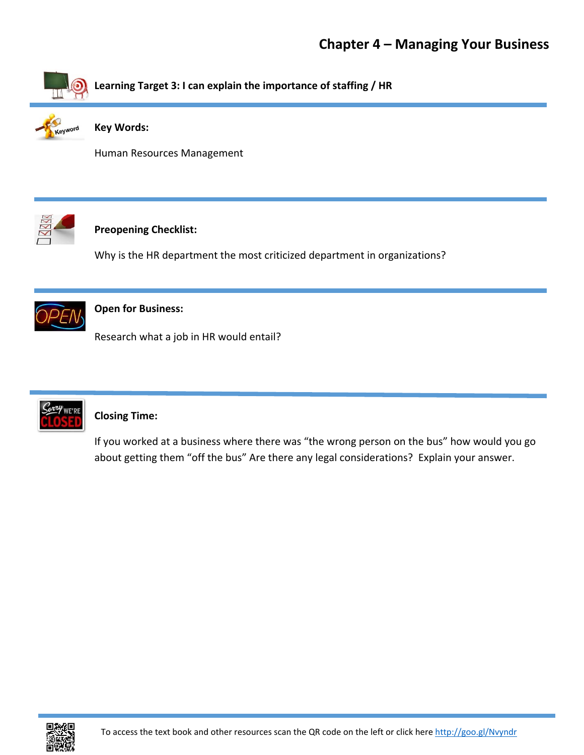

**Key Words:** 

Human Resources Management



## **Preopening Checklist:**

Why is the HR department the most criticized department in organizations?



## **Open for Business:**

Research what a job in HR would entail?



## **Closing Time:**

If you worked at a business where there was "the wrong person on the bus" how would you go about getting them "off the bus" Are there any legal considerations? Explain your answer.